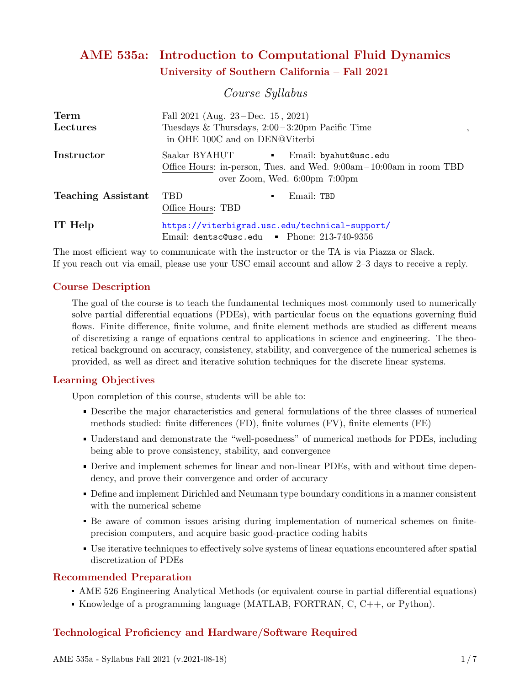# AME 535a: Introduction to Computational Fluid Dynamics University of Southern California – Fall 2021

|                           | Course Syllabus                                                                                                                                                                                  |
|---------------------------|--------------------------------------------------------------------------------------------------------------------------------------------------------------------------------------------------|
| Term<br>Lectures          | Fall $2021$ (Aug. $23 - Dec. 15$ , $2021$ )<br>Tuesdays & Thursdays, $2:00-3:20$ pm Pacific Time<br>in OHE 100C and on DEN@Viterbi                                                               |
| Instructor                | Saakar BYAHUT<br>Email: byahut@usc.edu<br>$\mathbf{H}^{\text{max}}$<br>Office Hours: in-person, Tues. and Wed. $9:00am-10:00am$ in room TBD<br>over Zoom, Wed. $6:00 \text{pm} - 7:00 \text{pm}$ |
| <b>Teaching Assistant</b> | <b>TBD</b><br>Email: TBD<br>$\blacksquare$<br>Office Hours: TBD                                                                                                                                  |
| IT Help                   | https://viterbigrad.usc.edu/technical-support/<br>Email: dentsc@usc.edu • Phone: 213-740-9356                                                                                                    |

The most efficient way to communicate with the instructor or the TA is via Piazza or Slack. If you reach out via email, please use your USC email account and allow 2–3 days to receive a reply.

## Course Description

The goal of the course is to teach the fundamental techniques most commonly used to numerically solve partial differential equations (PDEs), with particular focus on the equations governing fluid flows. Finite difference, finite volume, and finite element methods are studied as different means of discretizing a range of equations central to applications in science and engineering. The theoretical background on accuracy, consistency, stability, and convergence of the numerical schemes is provided, as well as direct and iterative solution techniques for the discrete linear systems.

## Learning Objectives

Upon completion of this course, students will be able to:

- Describe the major characteristics and general formulations of the three classes of numerical methods studied: finite differences (FD), finite volumes (FV), finite elements (FE)
- Understand and demonstrate the "well-posedness" of numerical methods for PDEs, including being able to prove consistency, stability, and convergence
- Derive and implement schemes for linear and non-linear PDEs, with and without time dependency, and prove their convergence and order of accuracy
- Define and implement Dirichled and Neumann type boundary conditions in a manner consistent with the numerical scheme
- Be aware of common issues arising during implementation of numerical schemes on finiteprecision computers, and acquire basic good-practice coding habits
- Use iterative techniques to effectively solve systems of linear equations encountered after spatial discretization of PDEs

## Recommended Preparation

- AME 526 Engineering Analytical Methods (or equivalent course in partial differential equations)
- Knowledge of a programming language (MATLAB, FORTRAN,  $C, C++,$  or Python).

## Technological Proficiency and Hardware/Software Required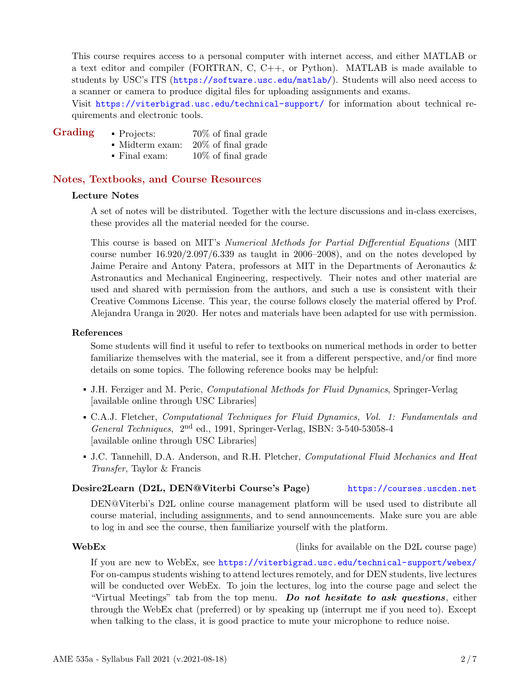This course requires access to a personal computer with internet access, and either MATLAB or a text editor and compiler (FORTRAN, C, C++, or Python). MATLAB is made available to students by USC's ITS (<https://software.usc.edu/matlab/>). Students will also need access to a scanner or camera to produce digital files for uploading assignments and exams.

Visit <https://viterbigrad.usc.edu/technical-support/> for information about technical requirements and electronic tools.

- Grading Projects: 70% of final grade
	- Midterm exam: 20% of final grade
	- Final exam: 10% of final grade

### Notes, Textbooks, and Course Resources

### Lecture Notes

A set of notes will be distributed. Together with the lecture discussions and in-class exercises, these provides all the material needed for the course.

This course is based on MIT's Numerical Methods for Partial Differential Equations (MIT course number 16.920/2.097/6.339 as taught in 2006–2008), and on the notes developed by Jaime Peraire and Antony Patera, professors at MIT in the Departments of Aeronautics & Astronautics and Mechanical Engineering, respectively. Their notes and other material are used and shared with permission from the authors, and such a use is consistent with their Creative Commons License. This year, the course follows closely the material offered by Prof. Alejandra Uranga in 2020. Her notes and materials have been adapted for use with permission.

#### References

Some students will find it useful to refer to textbooks on numerical methods in order to better familiarize themselves with the material, see it from a different perspective, and/or find more details on some topics. The following reference books may be helpful:

- J.H. Ferziger and M. Peric, Computational Methods for Fluid Dynamics, Springer-Verlag [available online through USC Libraries]
- C.A.J. Fletcher, Computational Techniques for Fluid Dynamics, Vol. 1: Fundamentals and General Techniques, 2<sup>nd</sup> ed., 1991, Springer-Verlag, ISBN: 3-540-53058-4 [available online through USC Libraries]
- J.C. Tannehill, D.A. Anderson, and R.H. Pletcher, Computational Fluid Mechanics and Heat Transfer, Taylor & Francis

### Desire2Learn (D2L, DEN@Viterbi Course's Page) <https://courses.uscden.net>

DEN@Viterbi's D2L online course management platform will be used used to distribute all course material, including assignments, and to send announcements. Make sure you are able to log in and see the course, then familiarize yourself with the platform.

#### WebEx (links for available on the D2L course page)

If you are new to WebEx, see <https://viterbigrad.usc.edu/technical-support/webex/> For on-campus students wishing to attend lectures remotely, and for DEN students, live lectures will be conducted over WebEx. To join the lectures, log into the course page and select the "Virtual Meetings" tab from the top menu. Do not hesitate to ask questions, either through the WebEx chat (preferred) or by speaking up (interrupt me if you need to). Except when talking to the class, it is good practice to mute your microphone to reduce noise.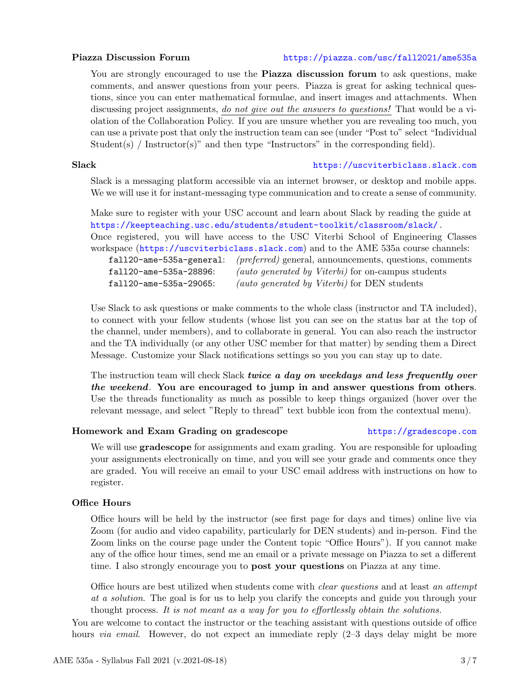### Piazza Discussion Forum <https://piazza.com/usc/fall2021/ame535a>

You are strongly encouraged to use the **Piazza discussion forum** to ask questions, make comments, and answer questions from your peers. Piazza is great for asking technical questions, since you can enter mathematical formulae, and insert images and attachments. When discussing project assignments, do not give out the answers to questions! That would be a violation of the Collaboration Policy. If you are unsure whether you are revealing too much, you can use a private post that only the instruction team can see (under "Post to" select "Individual Student(s) / Instructor(s)" and then type "Instructors" in the corresponding field).

#### Slack <https://uscviterbiclass.slack.com>

Slack is a messaging platform accessible via an internet browser, or desktop and mobile apps. We we will use it for instant-messaging type communication and to create a sense of community.

Make sure to register with your USC account and learn about Slack by reading the guide at <https://keepteaching.usc.edu/students/student-toolkit/classroom/slack/> . Once registered, you will have access to the USC Viterbi School of Engineering Classes workspace (<https://uscviterbiclass.slack.com>) and to the AME 535a course channels: fall20-ame-535a-general: (preferred) general, announcements, questions, comments fall20-ame-535a-28896: (auto generated by Viterbi) for on-campus students fall20-ame-535a-29065: (auto generated by Viterbi) for DEN students

Use Slack to ask questions or make comments to the whole class (instructor and TA included), to connect with your fellow students (whose list you can see on the status bar at the top of the channel, under members), and to collaborate in general. You can also reach the instructor and the TA individually (or any other USC member for that matter) by sending them a Direct Message. Customize your Slack notifications settings so you you can stay up to date.

The instruction team will check Slack twice a day on weekdays and less frequently over the weekend. You are encouraged to jump in and answer questions from others. Use the threads functionality as much as possible to keep things organized (hover over the relevant message, and select "Reply to thread" text bubble icon from the contextual menu).

### Homework and Exam Grading on gradescope <https://gradescope.com>

We will use **gradescope** for assignments and exam grading. You are responsible for uploading your assignments electronically on time, and you will see your grade and comments once they are graded. You will receive an email to your USC email address with instructions on how to register.

### Office Hours

Office hours will be held by the instructor (see first page for days and times) online live via Zoom (for audio and video capability, particularly for DEN students) and in-person. Find the Zoom links on the course page under the Content topic "Office Hours"). If you cannot make any of the office hour times, send me an email or a private message on Piazza to set a different time. I also strongly encourage you to post your questions on Piazza at any time.

Office hours are best utilized when students come with *clear questions* and at least an attempt at a solution. The goal is for us to help you clarify the concepts and guide you through your thought process. It is not meant as a way for you to effortlessly obtain the solutions.

You are welcome to contact the instructor or the teaching assistant with questions outside of office hours *via email.* However, do not expect an immediate reply  $(2-3)$  days delay might be more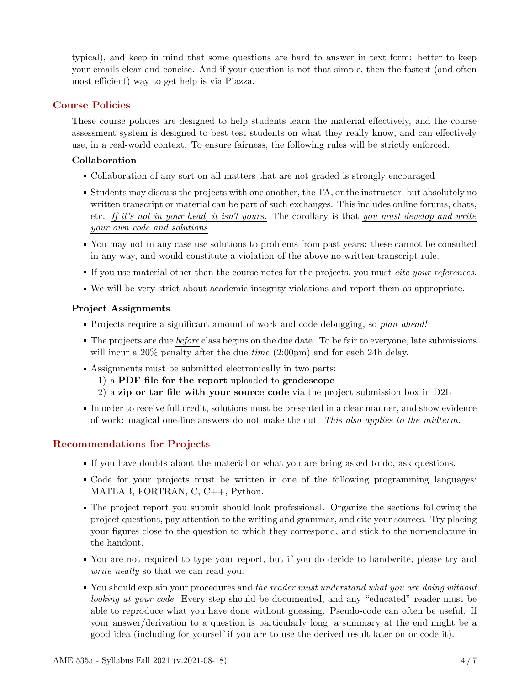typical), and keep in mind that some questions are hard to answer in text form: better to keep your emails clear and concise. And if your question is not that simple, then the fastest (and often most efficient) way to get help is via Piazza.

## Course Policies

These course policies are designed to help students learn the material effectively, and the course assessment system is designed to best test students on what they really know, and can effectively use, in a real-world context. To ensure fairness, the following rules will be strictly enforced.

## Collaboration

- Collaboration of any sort on all matters that are not graded is strongly encouraged
- Students may discuss the projects with one another, the TA, or the instructor, but absolutely no written transcript or material can be part of such exchanges. This includes online forums, chats, etc. If it's not in your head, it isn't yours. The corollary is that you must develop and write your own code and solutions.
- You may not in any case use solutions to problems from past years: these cannot be consulted in any way, and would constitute a violation of the above no-written-transcript rule.
- If you use material other than the course notes for the projects, you must *cite your references*.
- We will be very strict about academic integrity violations and report them as appropriate.

## Project Assignments

- Projects require a significant amount of work and code debugging, so plan ahead!
- The projects are due before class begins on the due date. To be fair to everyone, late submissions will incur a 20% penalty after the due *time* (2:00pm) and for each 24h delay.
- Assignments must be submitted electronically in two parts:
	- 1) a PDF file for the report uploaded to gradescope
	- 2) a zip or tar file with your source code via the project submission box in D2L
- In order to receive full credit, solutions must be presented in a clear manner, and show evidence of work: magical one-line answers do not make the cut. This also applies to the midterm.

## Recommendations for Projects

- If you have doubts about the material or what you are being asked to do, ask questions.
- Code for your projects must be written in one of the following programming languages: MATLAB, FORTRAN, C, C++, Python.
- The project report you submit should look professional. Organize the sections following the project questions, pay attention to the writing and grammar, and cite your sources. Try placing your figures close to the question to which they correspond, and stick to the nomenclature in the handout.
- You are not required to type your report, but if you do decide to handwrite, please try and write neatly so that we can read you.
- You should explain your procedures and the reader must understand what you are doing without looking at your code. Every step should be documented, and any "educated" reader must be able to reproduce what you have done without guessing. Pseudo-code can often be useful. If your answer/derivation to a question is particularly long, a summary at the end might be a good idea (including for yourself if you are to use the derived result later on or code it).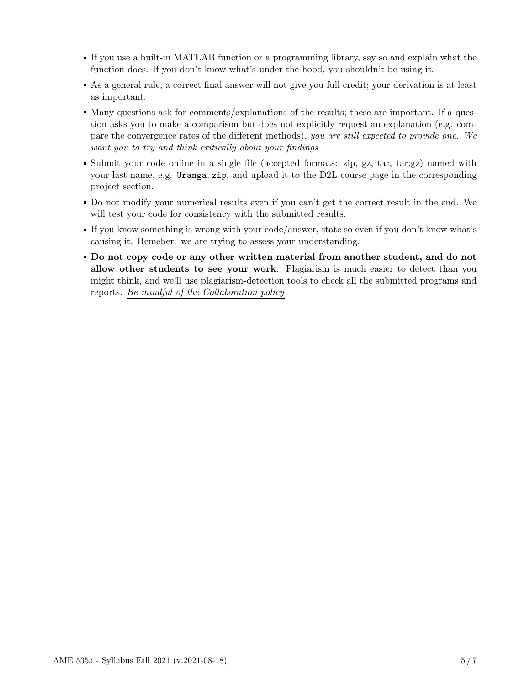- If you use a built-in MATLAB function or a programming library, say so and explain what the function does. If you don't know what's under the hood, you shouldn't be using it.
- As a general rule, a correct final answer will not give you full credit; your derivation is at least as important.
- Many questions ask for comments/explanations of the results; these are important. If a question asks you to make a comparison but does not explicitly request an explanation (e.g. compare the convergence rates of the different methods), you are still expected to provide one. We want you to try and think critically about your findings.
- Submit your code online in a single file (accepted formats: zip, gz, tar, tar.gz) named with your last name, e.g. Uranga.zip, and upload it to the D2L course page in the corresponding project section.
- Do not modify your numerical results even if you can't get the correct result in the end. We will test your code for consistency with the submitted results.
- If you know something is wrong with your code/answer, state so even if you don't know what's causing it. Remeber: we are trying to assess your understanding.
- Do not copy code or any other written material from another student, and do not allow other students to see your work. Plagiarism is much easier to detect than you might think, and we'll use plagiarism-detection tools to check all the submitted programs and reports. Be mindful of the Collaboration policy.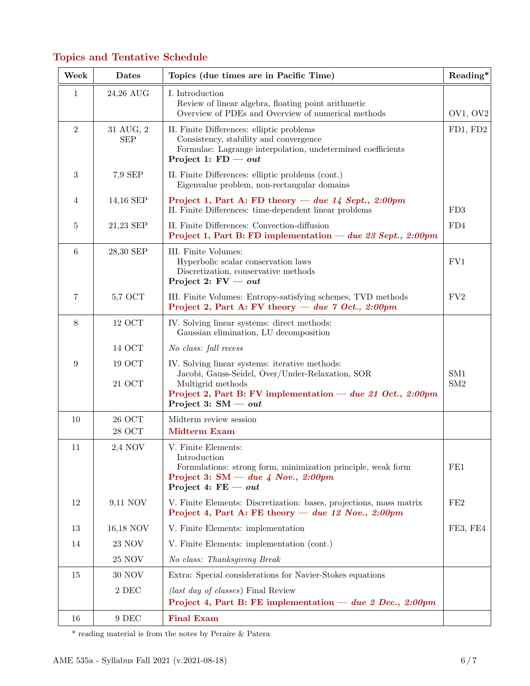# Topics and Tentative Schedule

| Week             | Dates                   | Topics (due times are in Pacific Time)                                                                                                                                                                         | Reading*   |
|------------------|-------------------------|----------------------------------------------------------------------------------------------------------------------------------------------------------------------------------------------------------------|------------|
| 1                | 24,26 AUG               | I. Introduction<br>Review of linear algebra, floating point arithmetic<br>Overview of PDEs and Overview of numerical methods                                                                                   | OV1, OV2   |
| $\sqrt{2}$       | 31 AUG, 2<br><b>SEP</b> | II. Finite Differences: elliptic problems<br>Consistency, stability and convergence<br>Formulae: Lagrange interpolation, undetermined coefficients<br>Project 1: $FD - out$                                    | FD1, FD2   |
| $\,3$            | 7,9 SEP                 | II. Finite Differences: elliptic problems (cont.)<br>Eigenvalue problem, non-rectangular domains                                                                                                               |            |
| 4                | 14,16 SEP               | Project 1, Part A: FD theory — due $14$ Sept., 2:00pm<br>II. Finite Differences: time-dependent linear problems                                                                                                | FD3        |
| 5                | 21,23 SEP               | II. Finite Differences: Convection-diffusion<br>Project 1, Part B: FD implementation — due 23 Sept., 2:00pm                                                                                                    | FD4        |
| 6                | 28,30 SEP               | III. Finite Volumes:<br>Hyperbolic scalar conservation laws<br>Discretization, conservative methods<br>Project 2: $FV - out$                                                                                   | FVI        |
| 7                | 5,7 OCT                 | III. Finite Volumes: Entropy-satisfying schemes, TVD methods<br>Project 2, Part A: FV theory — due $7$ Oct., 2:00pm                                                                                            | FV2        |
| $8\,$            | <b>12 OCT</b>           | IV. Solving linear systems: direct methods:<br>Gaussian elimination, LU decomposition                                                                                                                          |            |
|                  | 14 OCT                  | No class: fall recess                                                                                                                                                                                          |            |
| $\boldsymbol{9}$ | 19 OCT<br>21 OCT        | IV. Solving linear systems: iterative methods:<br>Jacobi, Gauss-Seidel, Over/Under-Relaxation, SOR<br>Multigrid methods<br>Project 2, Part B: FV implementation — due 21 Oct., 2:00pm<br>Project 3: $SM - out$ | SM1<br>SM2 |
| 10               | $26~\mathrm{OCT}$       | Midterm review session                                                                                                                                                                                         |            |
|                  | $28~\mathrm{OCT}$       | <b>Midterm Exam</b>                                                                                                                                                                                            |            |
| 11               | 2,4 NOV                 | V. Finite Elements:<br>Introduction<br>Formulations: strong form, minimization principle, weak form<br>Project 3: SM $-$ due 4 Nov., 2:00pm<br>Project 4: $FE - out$                                           | FE1        |
| 12               | 9,11 NOV                | V. Finite Elements: Discretization: bases, projections, mass matrix<br>Project 4, Part A: FE theory — due 12 Nov., $2:00pm$                                                                                    | FE2        |
| 13               | 16,18 NOV               | V. Finite Elements: implementation                                                                                                                                                                             | FE3, FE4   |
| 14               | $23\ \mathrm{NOV}$      | V. Finite Elements: implementation (cont.)                                                                                                                                                                     |            |
|                  | $25\ \mathrm{NOV}$      | No class: Thanksgiving Break                                                                                                                                                                                   |            |
| 15               | $30\ \mathrm{NOV}$      | Extra: Special considerations for Navier-Stokes equations                                                                                                                                                      |            |
|                  | $2\rm\;DEC$             | (last day of classes) Final Review                                                                                                                                                                             |            |
|                  |                         | Project 4, Part B: FE implementation — due 2 Dec., 2:00pm                                                                                                                                                      |            |
| 16               | 9 DEC                   | <b>Final Exam</b>                                                                                                                                                                                              |            |

\* reading material is from the notes by Peraire & Patera